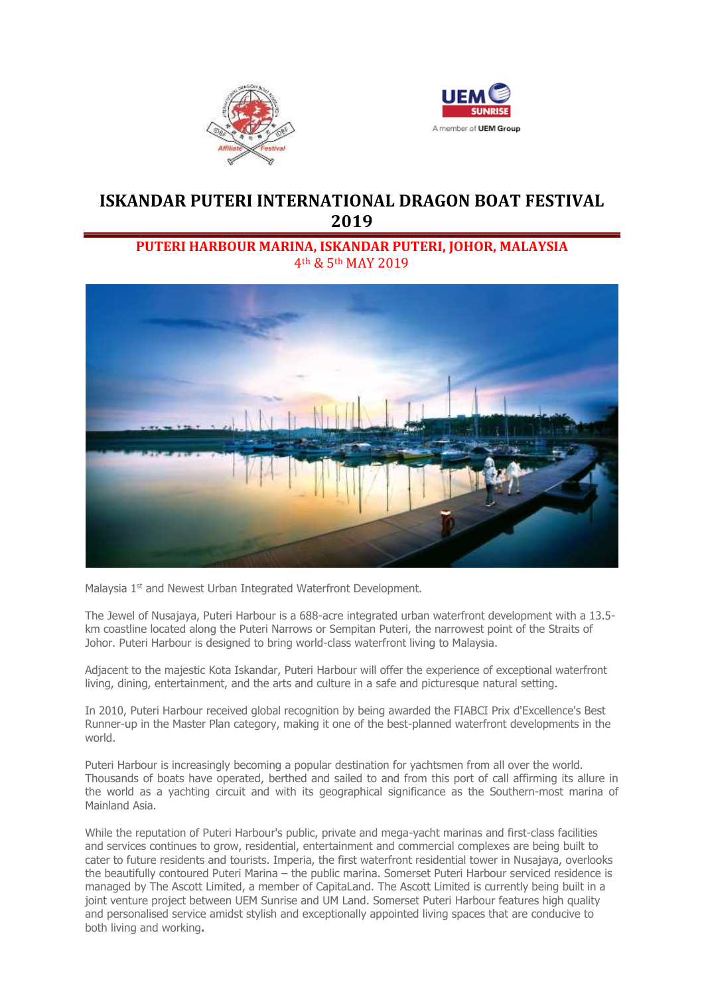



# **ISKANDAR PUTERI INTERNATIONAL DRAGON BOAT FESTIVAL 2019**

## **PUTERI HARBOUR MARINA, ISKANDAR PUTERI, JOHOR, MALAYSIA** 4th & 5th MAY 2019



Malaysia 1<sup>st</sup> and Newest Urban Integrated Waterfront Development.

The Jewel of Nusajaya, Puteri Harbour is a 688-acre integrated urban waterfront development with a 13.5 km coastline located along the Puteri Narrows or Sempitan Puteri, the narrowest point of the Straits of Johor. Puteri Harbour is designed to bring world-class waterfront living to Malaysia.

Adjacent to the majestic Kota Iskandar, Puteri Harbour will offer the experience of exceptional waterfront living, dining, entertainment, and the arts and culture in a safe and picturesque natural setting.

In 2010, Puteri Harbour received global recognition by being awarded the FIABCI Prix d'Excellence's Best Runner-up in the Master Plan category, making it one of the best-planned waterfront developments in the world.

Puteri Harbour is increasingly becoming a popular destination for yachtsmen from all over the world. Thousands of boats have operated, berthed and sailed to and from this port of call affirming its allure in the world as a yachting circuit and with its geographical significance as the Southern-most marina of Mainland Asia.

While the reputation of Puteri Harbour's public, private and mega-yacht marinas and first-class facilities and services continues to grow, residential, entertainment and commercial complexes are being built to cater to future residents and tourists. Imperia, the first waterfront residential tower in Nusajaya, overlooks the beautifully contoured Puteri Marina – the public marina. Somerset Puteri Harbour serviced residence is managed by The Ascott Limited, a member of CapitaLand. The Ascott Limited is currently being built in a joint venture project between UEM Sunrise and UM Land. Somerset Puteri Harbour features high quality and personalised service amidst stylish and exceptionally appointed living spaces that are conducive to both living and working**.**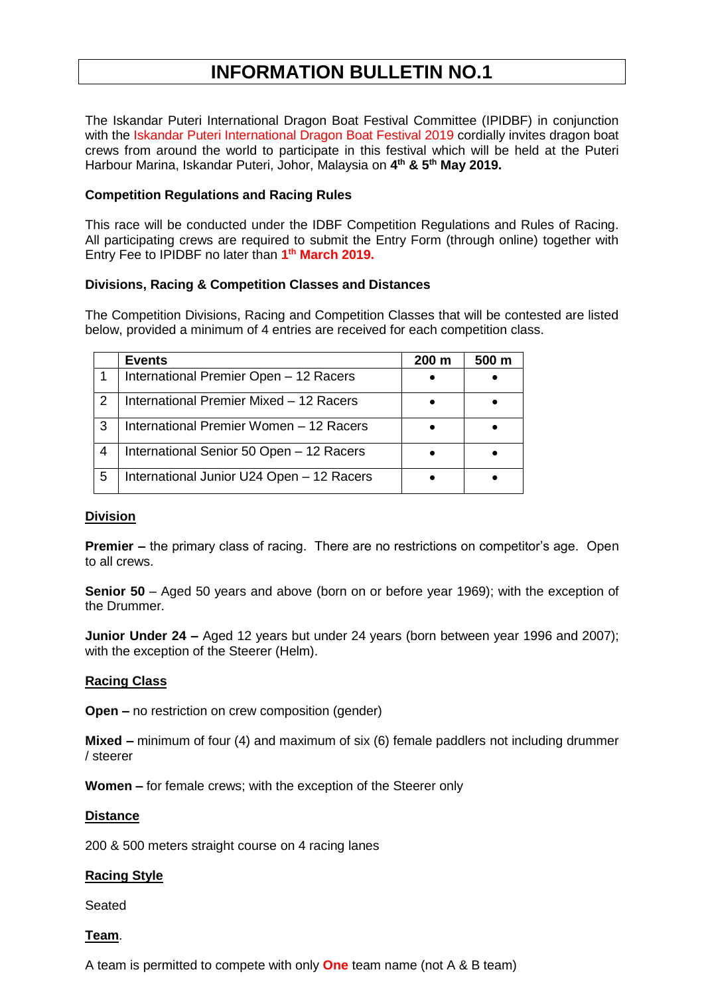# **INFORMATION BULLETIN NO.1**

The Iskandar Puteri International Dragon Boat Festival Committee (IPIDBF) in conjunction with the Iskandar Puteri International Dragon Boat Festival 2019 cordially invites dragon boat crews from around the world to participate in this festival which will be held at the Puteri Harbour Marina, Iskandar Puteri, Johor, Malaysia on **4 th & 5 th May 2019.**

### **Competition Regulations and Racing Rules**

This race will be conducted under the IDBF Competition Regulations and Rules of Racing. All participating crews are required to submit the Entry Form (through online) together with Entry Fee to IPIDBF no later than **1 th March 2019.**

### **Divisions, Racing & Competition Classes and Distances**

The Competition Divisions, Racing and Competition Classes that will be contested are listed below, provided a minimum of 4 entries are received for each competition class.

|               | <b>Events</b>                             | 200 m | 500 m |
|---------------|-------------------------------------------|-------|-------|
|               | International Premier Open - 12 Racers    |       |       |
| $\mathcal{P}$ | International Premier Mixed - 12 Racers   |       |       |
| 3             | International Premier Women - 12 Racers   |       |       |
| 4             | International Senior 50 Open - 12 Racers  |       |       |
| 5             | International Junior U24 Open - 12 Racers |       |       |

### **Division**

**Premier –** the primary class of racing. There are no restrictions on competitor's age. Open to all crews.

**Senior 50** – Aged 50 years and above (born on or before year 1969); with the exception of the Drummer.

**Junior Under 24 –** Aged 12 years but under 24 years (born between year 1996 and 2007); with the exception of the Steerer (Helm).

### **Racing Class**

**Open –** no restriction on crew composition (gender)

**Mixed –** minimum of four (4) and maximum of six (6) female paddlers not including drummer / steerer

**Women –** for female crews; with the exception of the Steerer only

### **Distance**

200 & 500 meters straight course on 4 racing lanes

### **Racing Style**

Seated

### **Team**.

A team is permitted to compete with only **One** team name (not A & B team)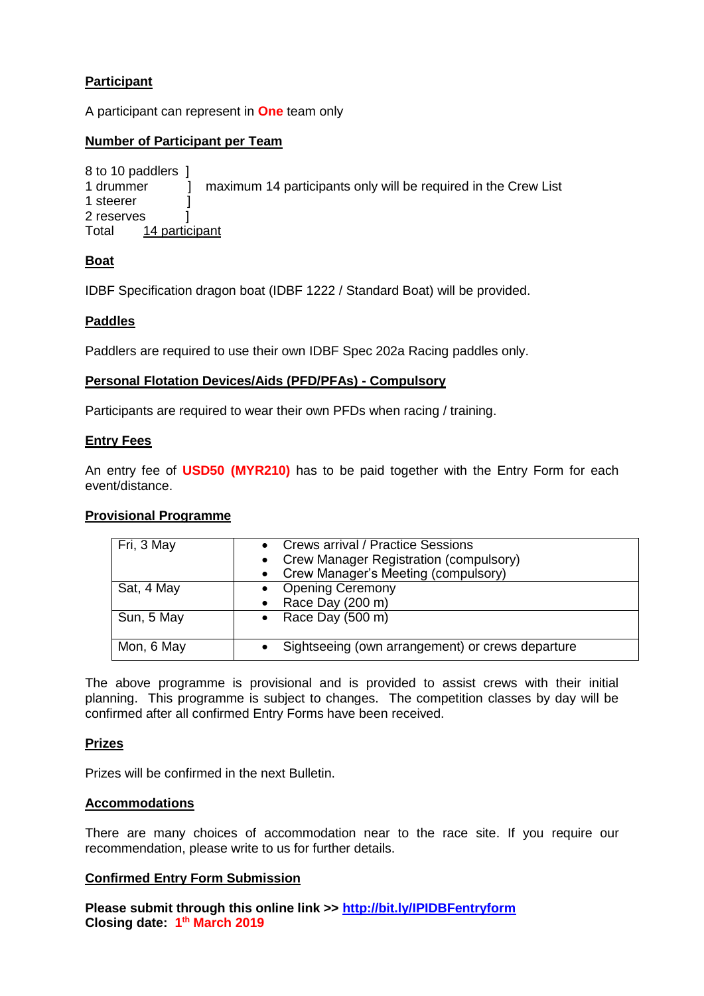## **Participant**

A participant can represent in **One** team only

### **Number of Participant per Team**

```
8 to 10 paddlers ]
1 drummer 1 maximum 14 participants only will be required in the Crew List
1 steerer 1
2 reserves ]
Total 14 participant
```
### **Boat**

IDBF Specification dragon boat (IDBF 1222 / Standard Boat) will be provided.

### **Paddles**

Paddlers are required to use their own IDBF Spec 202a Racing paddles only.

#### **Personal Flotation Devices/Aids (PFD/PFAs) - Compulsory**

Participants are required to wear their own PFDs when racing / training.

#### **Entry Fees**

An entry fee of **USD50 (MYR210)** has to be paid together with the Entry Form for each event/distance.

### **Provisional Programme**

| Fri, 3 May | <b>Crews arrival / Practice Sessions</b><br>• Crew Manager Registration (compulsory)<br>• Crew Manager's Meeting (compulsory) |
|------------|-------------------------------------------------------------------------------------------------------------------------------|
| Sat, 4 May | <b>Opening Ceremony</b><br>Race Day (200 m)                                                                                   |
| Sun, 5 May | • Race Day $(500 \text{ m})$                                                                                                  |
| Mon, 6 May | Sightseeing (own arrangement) or crews departure                                                                              |

The above programme is provisional and is provided to assist crews with their initial planning. This programme is subject to changes. The competition classes by day will be confirmed after all confirmed Entry Forms have been received.

### **Prizes**

Prizes will be confirmed in the next Bulletin.

#### **Accommodations**

There are many choices of accommodation near to the race site. If you require our recommendation, please write to us for further details.

#### **Confirmed Entry Form Submission**

**Please submit through this online link >><http://bit.ly/IPIDBFentryform> Closing date: 1 th March 2019**